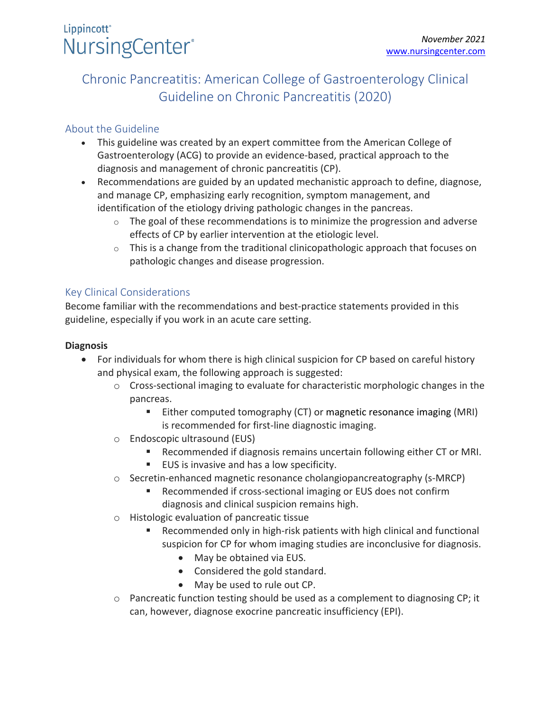# Lippincott<sup>®</sup> NursingCenter®

# Chronic Pancreatitis: American College of Gastroenterology Clinical Guideline on Chronic Pancreatitis (2020)

## About the Guideline

- This guideline was created by an expert committee from the American College of Gastroenterology (ACG) to provide an evidence-based, practical approach to the diagnosis and management of chronic pancreatitis (CP).
- Recommendations are guided by an updated mechanistic approach to define, diagnose, and manage CP, emphasizing early recognition, symptom management, and identification of the etiology driving pathologic changes in the pancreas.
	- $\circ$  The goal of these recommendations is to minimize the progression and adverse effects of CP by earlier intervention at the etiologic level.
	- $\circ$  This is a change from the traditional clinicopathologic approach that focuses on pathologic changes and disease progression.

### Key Clinical Considerations

Become familiar with the recommendations and best-practice statements provided in this guideline, especially if you work in an acute care setting.

### **Diagnosis**

- For individuals for whom there is high clinical suspicion for CP based on careful history and physical exam, the following approach is suggested:
	- o Cross-sectional imaging to evaluate for characteristic morphologic changes in the pancreas.
		- Either computed tomography (CT) or magnetic resonance imaging (MRI) is recommended for first-line diagnostic imaging.
	- o Endoscopic ultrasound (EUS)
		- Recommended if diagnosis remains uncertain following either CT or MRI.
		- EUS is invasive and has a low specificity.
	- o Secretin-enhanced magnetic resonance cholangiopancreatography (s-MRCP)
		- Recommended if cross-sectional imaging or EUS does not confirm diagnosis and clinical suspicion remains high.
	- o Histologic evaluation of pancreatic tissue
		- Recommended only in high-risk patients with high clinical and functional suspicion for CP for whom imaging studies are inconclusive for diagnosis.
			- May be obtained via EUS.
			- Considered the gold standard.
			- May be used to rule out CP.
	- o Pancreatic function testing should be used as a complement to diagnosing CP; it can, however, diagnose exocrine pancreatic insufficiency (EPI).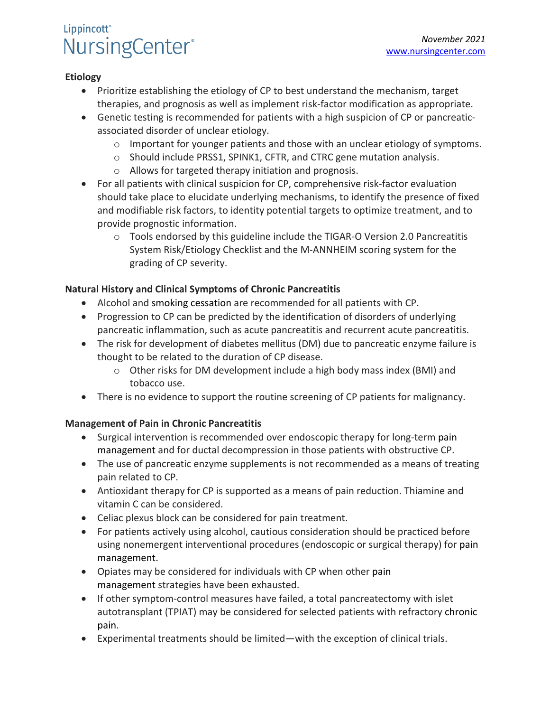# Lippincott<sup>®</sup> NursingCenter®

#### **Etiology**

- Prioritize establishing the etiology of CP to best understand the mechanism, target therapies, and prognosis as well as implement risk-factor modification as appropriate.
- Genetic testing is recommended for patients with a high suspicion of CP or pancreaticassociated disorder of unclear etiology.
	- $\circ$  Important for younger patients and those with an unclear etiology of symptoms.
	- o Should include PRSS1, SPINK1, CFTR, and CTRC gene mutation analysis.
	- o Allows for targeted therapy initiation and prognosis.
- For all patients with clinical suspicion for CP, comprehensive risk-factor evaluation should take place to elucidate underlying mechanisms, to identify the presence of fixed and modifiable risk factors, to identity potential targets to optimize treatment, and to provide prognostic information.
	- o Tools endorsed by this guideline include the TIGAR-O Version 2.0 Pancreatitis System Risk/Etiology Checklist and the M-ANNHEIM scoring system for the grading of CP severity.

#### **Natural History and Clinical Symptoms of Chronic Pancreatitis**

- Alcohol and smoking cessation are recommended for all patients with CP.
- Progression to CP can be predicted by the identification of disorders of underlying pancreatic inflammation, such as acute pancreatitis and recurrent acute pancreatitis.
- The risk for development of diabetes mellitus (DM) due to pancreatic enzyme failure is thought to be related to the duration of CP disease.
	- o Other risks for DM development include a high body mass index (BMI) and tobacco use.
- There is no evidence to support the routine screening of CP patients for malignancy.

### **Management of Pain in Chronic Pancreatitis**

- Surgical intervention is recommended over endoscopic therapy for long-term pain management and for ductal decompression in those patients with obstructive CP.
- The use of pancreatic enzyme supplements is not recommended as a means of treating pain related to CP.
- Antioxidant therapy for CP is supported as a means of pain reduction. Thiamine and vitamin C can be considered.
- Celiac plexus block can be considered for pain treatment.
- For patients actively using alcohol, cautious consideration should be practiced before using nonemergent interventional procedures (endoscopic or surgical therapy) for pain management.
- Opiates may be considered for individuals with CP when other pain management strategies have been exhausted.
- If other symptom-control measures have failed, a total pancreatectomy with islet autotransplant (TPIAT) may be considered for selected patients with refractory chronic pain.
- Experimental treatments should be limited—with the exception of clinical trials.